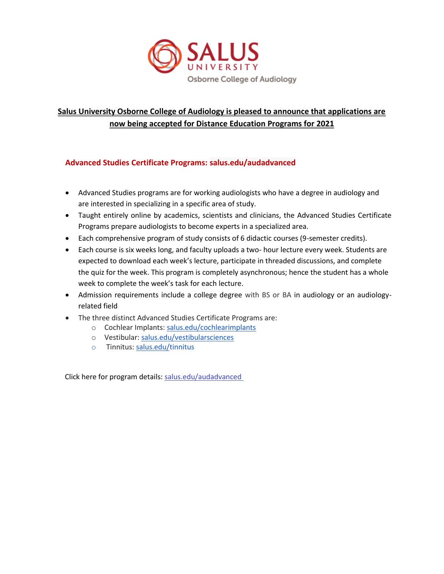

# **Salus University Osborne College of Audiology is pleased to announce that applications are now being accepted for Distance Education Programs for 2021**

# **Advanced Studies Certificate Programs: [salus.edu/audadvanced](https://www.salus.edu/audadvanced)**

- Advanced Studies programs are for working audiologists who have a degree in audiology and are interested in specializing in a specific area of study.
- Taught entirely online by academics, scientists and clinicians, the Advanced Studies Certificate Programs prepare audiologists to become experts in a specialized area.
- Each comprehensive program of study consists of 6 didactic courses (9-semester credits).
- Each course is six weeks long, and faculty uploads a two- hour lecture every week. Students are expected to download each week's lecture, participate in threaded discussions, and complete the quiz for the week. This program is completely asynchronous; hence the student has a whole week to complete the week's task for each lecture.
- Admission requirements include a college degree with BS or BA in audiology or an audiologyrelated field
- The three distinct Advanced Studies Certificate Programs are:
	- o Cochlear Implants: [salus.edu/cochlearimplants](http://salus.edu/cochlearimplants)
	- o Vestibular: [salus.edu/vestibularsciences](http://salus.edu/vestibularsciences)
	- o Tinnitus: [salus.edu/tinnitus](http://salus.edu/tinnitus)

Click here for program details: salus.edu/audadvanced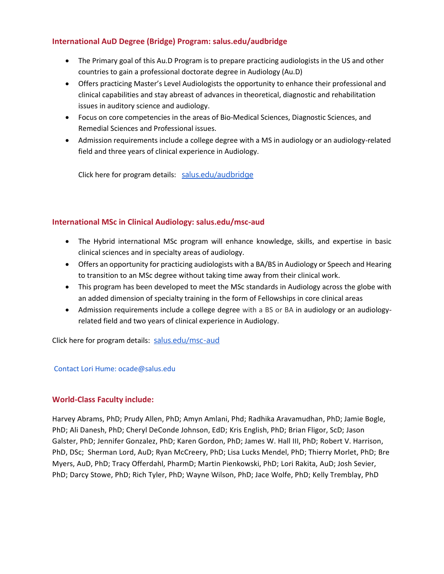## **International AuD Degree (Bridge) Program: [salus.edu/audbridge](http://www.salus.edu/Colleges/Audiology/Doctor-of-Audiology-Online-Bridge-Program.aspx)**

- The Primary goal of this Au.D Program is to prepare practicing audiologists in the US and other countries to gain a professional doctorate degree in Audiology (Au.D)
- Offers practicing Master's Level Audiologists the opportunity to enhance their professional and clinical capabilities and stay abreast of advances in theoretical, diagnostic and rehabilitation issues in auditory science and audiology.
- Focus on core competencies in the areas of Bio-Medical Sciences, Diagnostic Sciences, and Remedial Sciences and Professional issues.
- Admission requirements include a college degree with a MS in audiology or an audiology-related field and three years of clinical experience in Audiology.

Click here for program details: [salus.edu/audbridge](http://salus.edu/audbridge)

# **International MSc in Clinical Audiology: salus.edu/msc-aud**

- The Hybrid international MSc program will enhance knowledge, skills, and expertise in basic clinical sciences and in specialty areas of audiology.
- Offers an opportunity for practicing audiologists with a BA/BS in Audiology or Speech and Hearing to transition to an MSc degree without taking time away from their clinical work.
- This program has been developed to meet the MSc standards in Audiology across the globe with an added dimension of specialty training in the form of Fellowships in core clinical areas
- Admission requirements include a college degree with a BS or BA in audiology or an audiologyrelated field and two years of clinical experience in Audiology.

Click here for program details: [salus.edu/msc-aud](http://salus.edu/msc-aud)

### Contact Lori Hume: ocade@salus.edu

### **World-Class Faculty include:**

Harvey Abrams, PhD; Prudy Allen, PhD; Amyn Amlani, Phd; Radhika Aravamudhan, PhD; Jamie Bogle, PhD; Ali Danesh, PhD; Cheryl DeConde Johnson, EdD; Kris English, PhD; Brian Fligor, ScD; Jason Galster, PhD; Jennifer Gonzalez, PhD; Karen Gordon, PhD; James W. Hall III, PhD; Robert V. Harrison, PhD, DSc; Sherman Lord, AuD; Ryan McCreery, PhD; Lisa Lucks Mendel, PhD; Thierry Morlet, PhD; Bre Myers, AuD, PhD; Tracy Offerdahl, PharmD; Martin Pienkowski, PhD; Lori Rakita, AuD; Josh Sevier, PhD; Darcy Stowe, PhD; Rich Tyler, PhD; Wayne Wilson, PhD; Jace Wolfe, PhD; Kelly Tremblay, PhD